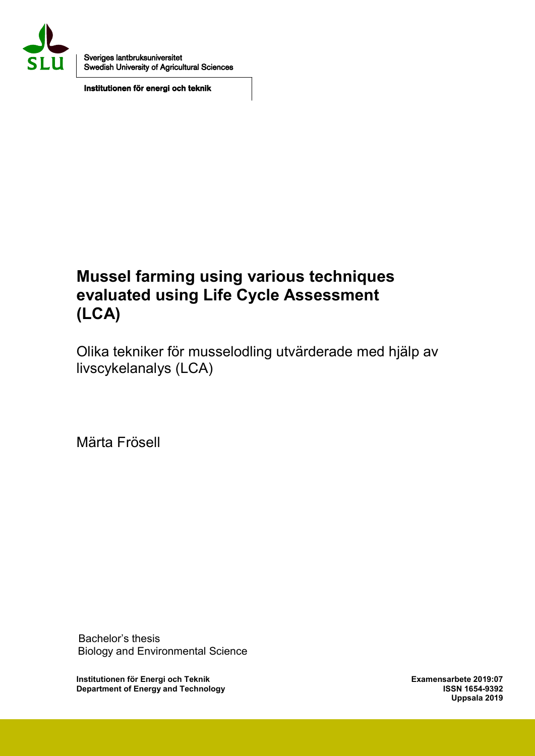

Sveriges lantbruksuniversitet Swedish University of Agricultural Sciences

Institutionen för energi och teknik

## Mussel farming using various techniques evaluated using Life Cycle Assessment (LCA)

Olika tekniker för musselodling utvärderade med hjälp av livscykelanalys (LCA)

Märta Frösell

 Bachelor's thesis Biology and Environmental Science

Institutionen för Energi och Teknik Examensarbete 2019:07 Department of Energy and Technology

Uppsala 2019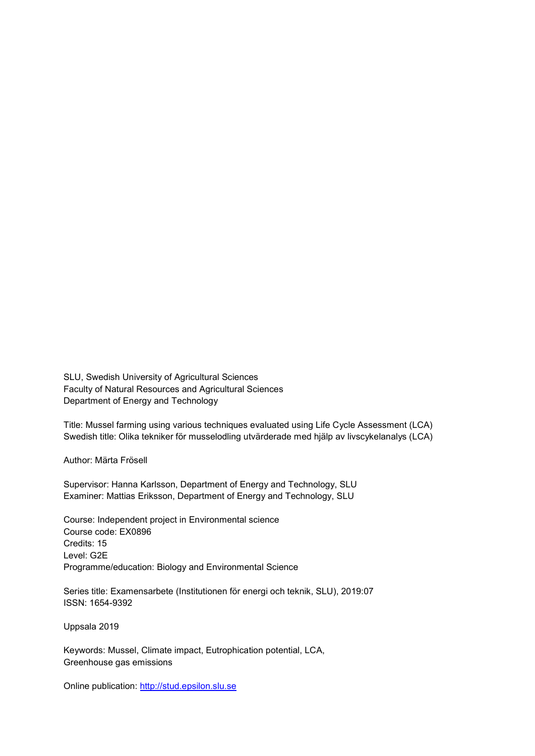SLU, Swedish University of Agricultural Sciences Faculty of Natural Resources and Agricultural Sciences Department of Energy and Technology

Title: Mussel farming using various techniques evaluated using Life Cycle Assessment (LCA) Swedish title: Olika tekniker för musselodling utvärderade med hjälp av livscykelanalys (LCA)

Author: Märta Frösell

Supervisor: Hanna Karlsson, Department of Energy and Technology, SLU Examiner: Mattias Eriksson, Department of Energy and Technology, SLU

Course: Independent project in Environmental science Course code: EX0896 Credits: 15 Level: G2E Programme/education: Biology and Environmental Science

Series title: Examensarbete (Institutionen för energi och teknik, SLU), 2019:07 ISSN: 1654-9392

Uppsala 2019

Keywords: Mussel, Climate impact, Eutrophication potential, LCA, Greenhouse gas emissions

Online publication: http://stud.epsilon.slu.se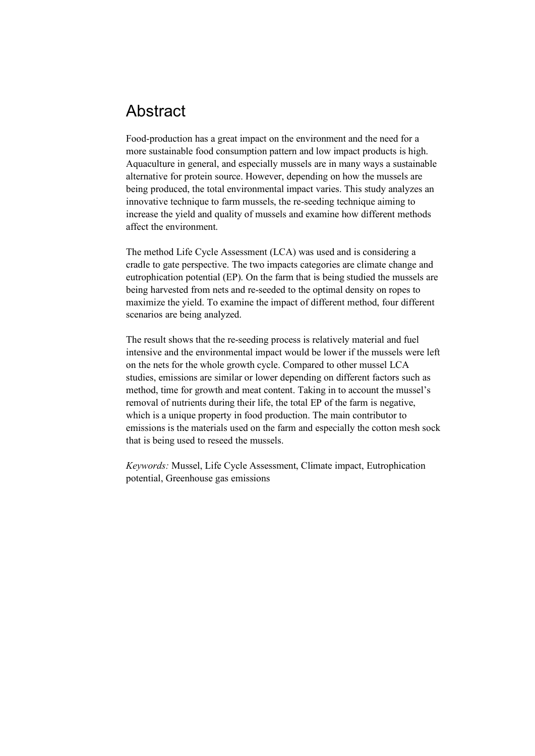### Abstract

Food-production has a great impact on the environment and the need for a more sustainable food consumption pattern and low impact products is high. Aquaculture in general, and especially mussels are in many ways a sustainable alternative for protein source. However, depending on how the mussels are being produced, the total environmental impact varies. This study analyzes an innovative technique to farm mussels, the re-seeding technique aiming to increase the yield and quality of mussels and examine how different methods affect the environment.

The method Life Cycle Assessment (LCA) was used and is considering a cradle to gate perspective. The two impacts categories are climate change and eutrophication potential (EP). On the farm that is being studied the mussels are being harvested from nets and re-seeded to the optimal density on ropes to maximize the yield. To examine the impact of different method, four different scenarios are being analyzed.

The result shows that the re-seeding process is relatively material and fuel intensive and the environmental impact would be lower if the mussels were left on the nets for the whole growth cycle. Compared to other mussel LCA studies, emissions are similar or lower depending on different factors such as method, time for growth and meat content. Taking in to account the mussel's removal of nutrients during their life, the total EP of the farm is negative, which is a unique property in food production. The main contributor to emissions is the materials used on the farm and especially the cotton mesh sock that is being used to reseed the mussels.

*Keywords:* Mussel, Life Cycle Assessment, Climate impact, Eutrophication potential, Greenhouse gas emissions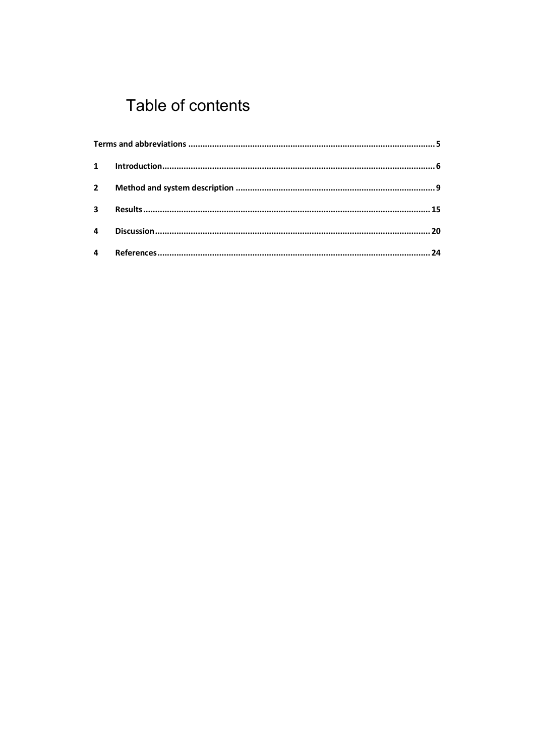# Table of contents

| $\mathbf{2}$   |  |
|----------------|--|
| $\mathbf{3}$   |  |
| 4              |  |
| $\overline{4}$ |  |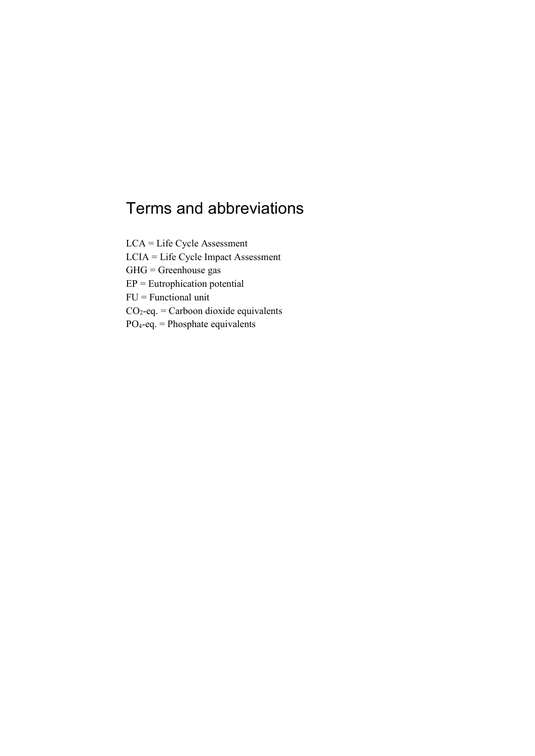## Terms and abbreviations

LCA = Life Cycle Assessment LCIA = Life Cycle Impact Assessment  $GHG =$ Greenhouse gas EP = Eutrophication potential FU = Functional unit  $CO<sub>2</sub>$ -eq. = Carboon dioxide equivalents  $PO<sub>4</sub>-eq.$  = Phosphate equivalents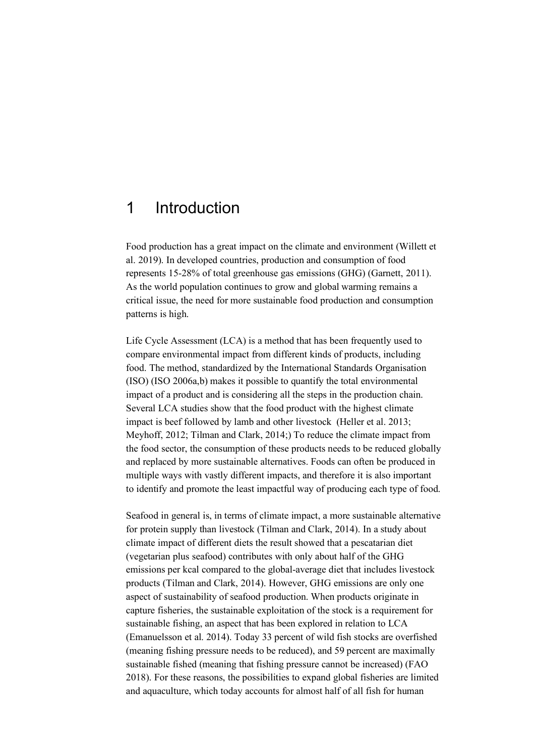### 1 Introduction

Food production has a great impact on the climate and environment (Willett et al. 2019). In developed countries, production and consumption of food represents 15-28% of total greenhouse gas emissions (GHG) (Garnett, 2011). As the world population continues to grow and global warming remains a critical issue, the need for more sustainable food production and consumption patterns is high.

Life Cycle Assessment (LCA) is a method that has been frequently used to compare environmental impact from different kinds of products, including food. The method, standardized by the International Standards Organisation (ISO) (ISO 2006a,b) makes it possible to quantify the total environmental impact of a product and is considering all the steps in the production chain. Several LCA studies show that the food product with the highest climate impact is beef followed by lamb and other livestock (Heller et al. 2013; Meyhoff, 2012; Tilman and Clark, 2014;) To reduce the climate impact from the food sector, the consumption of these products needs to be reduced globally and replaced by more sustainable alternatives. Foods can often be produced in multiple ways with vastly different impacts, and therefore it is also important to identify and promote the least impactful way of producing each type of food.

Seafood in general is, in terms of climate impact, a more sustainable alternative for protein supply than livestock (Tilman and Clark, 2014). In a study about climate impact of different diets the result showed that a pescatarian diet (vegetarian plus seafood) contributes with only about half of the GHG emissions per kcal compared to the global-average diet that includes livestock products (Tilman and Clark, 2014). However, GHG emissions are only one aspect of sustainability of seafood production. When products originate in capture fisheries, the sustainable exploitation of the stock is a requirement for sustainable fishing, an aspect that has been explored in relation to LCA (Emanuelsson et al. 2014). Today 33 percent of wild fish stocks are overfished (meaning fishing pressure needs to be reduced), and 59 percent are maximally sustainable fished (meaning that fishing pressure cannot be increased) (FAO 2018). For these reasons, the possibilities to expand global fisheries are limited and aquaculture, which today accounts for almost half of all fish for human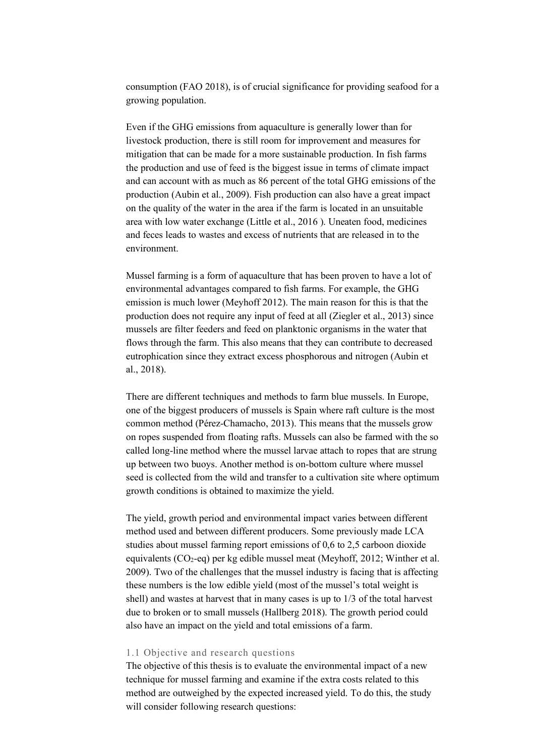consumption (FAO 2018), is of crucial significance for providing seafood for a growing population.

Even if the GHG emissions from aquaculture is generally lower than for livestock production, there is still room for improvement and measures for mitigation that can be made for a more sustainable production. In fish farms the production and use of feed is the biggest issue in terms of climate impact and can account with as much as 86 percent of the total GHG emissions of the production (Aubin et al., 2009). Fish production can also have a great impact on the quality of the water in the area if the farm is located in an unsuitable area with low water exchange (Little et al., 2016 ). Uneaten food, medicines and feces leads to wastes and excess of nutrients that are released in to the environment.

Mussel farming is a form of aquaculture that has been proven to have a lot of environmental advantages compared to fish farms. For example, the GHG emission is much lower (Meyhoff 2012). The main reason for this is that the production does not require any input of feed at all (Ziegler et al., 2013) since mussels are filter feeders and feed on planktonic organisms in the water that flows through the farm. This also means that they can contribute to decreased eutrophication since they extract excess phosphorous and nitrogen (Aubin et al., 2018).

There are different techniques and methods to farm blue mussels. In Europe, one of the biggest producers of mussels is Spain where raft culture is the most common method (Pérez-Chamacho, 2013). This means that the mussels grow on ropes suspended from floating rafts. Mussels can also be farmed with the so called long-line method where the mussel larvae attach to ropes that are strung up between two buoys. Another method is on-bottom culture where mussel seed is collected from the wild and transfer to a cultivation site where optimum growth conditions is obtained to maximize the yield.

The yield, growth period and environmental impact varies between different method used and between different producers. Some previously made LCA studies about mussel farming report emissions of 0,6 to 2,5 carboon dioxide equivalents  $(CO_2$ -eq) per kg edible mussel meat (Meyhoff, 2012; Winther et al. 2009). Two of the challenges that the mussel industry is facing that is affecting these numbers is the low edible yield (most of the mussel's total weight is shell) and wastes at harvest that in many cases is up to 1/3 of the total harvest due to broken or to small mussels (Hallberg 2018). The growth period could also have an impact on the yield and total emissions of a farm.

#### 1.1 Objective and research questions

The objective of this thesis is to evaluate the environmental impact of a new technique for mussel farming and examine if the extra costs related to this method are outweighed by the expected increased yield. To do this, the study will consider following research questions: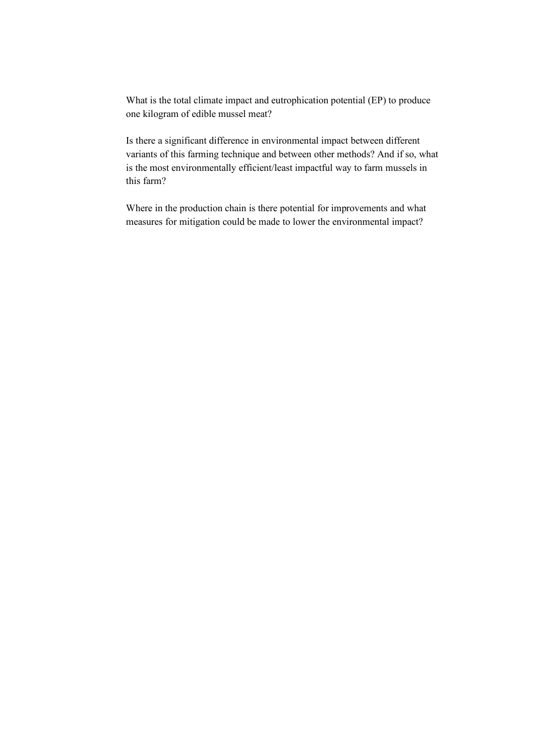What is the total climate impact and eutrophication potential (EP) to produce one kilogram of edible mussel meat?

Is there a significant difference in environmental impact between different variants of this farming technique and between other methods? And if so, what is the most environmentally efficient/least impactful way to farm mussels in this farm?

Where in the production chain is there potential for improvements and what measures for mitigation could be made to lower the environmental impact?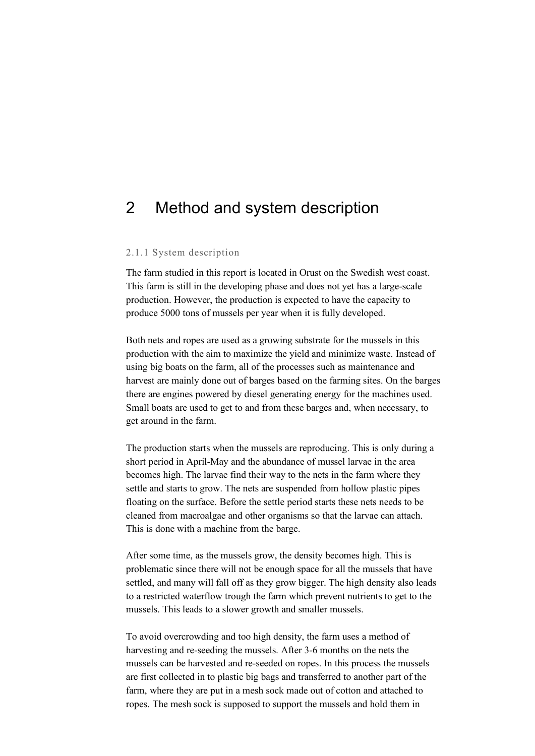### 2 Method and system description

#### 2.1.1 System description

The farm studied in this report is located in Orust on the Swedish west coast. This farm is still in the developing phase and does not yet has a large-scale production. However, the production is expected to have the capacity to produce 5000 tons of mussels per year when it is fully developed.

Both nets and ropes are used as a growing substrate for the mussels in this production with the aim to maximize the yield and minimize waste. Instead of using big boats on the farm, all of the processes such as maintenance and harvest are mainly done out of barges based on the farming sites. On the barges there are engines powered by diesel generating energy for the machines used. Small boats are used to get to and from these barges and, when necessary, to get around in the farm.

The production starts when the mussels are reproducing. This is only during a short period in April-May and the abundance of mussel larvae in the area becomes high. The larvae find their way to the nets in the farm where they settle and starts to grow. The nets are suspended from hollow plastic pipes floating on the surface. Before the settle period starts these nets needs to be cleaned from macroalgae and other organisms so that the larvae can attach. This is done with a machine from the barge.

After some time, as the mussels grow, the density becomes high. This is problematic since there will not be enough space for all the mussels that have settled, and many will fall off as they grow bigger. The high density also leads to a restricted waterflow trough the farm which prevent nutrients to get to the mussels. This leads to a slower growth and smaller mussels.

To avoid overcrowding and too high density, the farm uses a method of harvesting and re-seeding the mussels. After 3-6 months on the nets the mussels can be harvested and re-seeded on ropes. In this process the mussels are first collected in to plastic big bags and transferred to another part of the farm, where they are put in a mesh sock made out of cotton and attached to ropes. The mesh sock is supposed to support the mussels and hold them in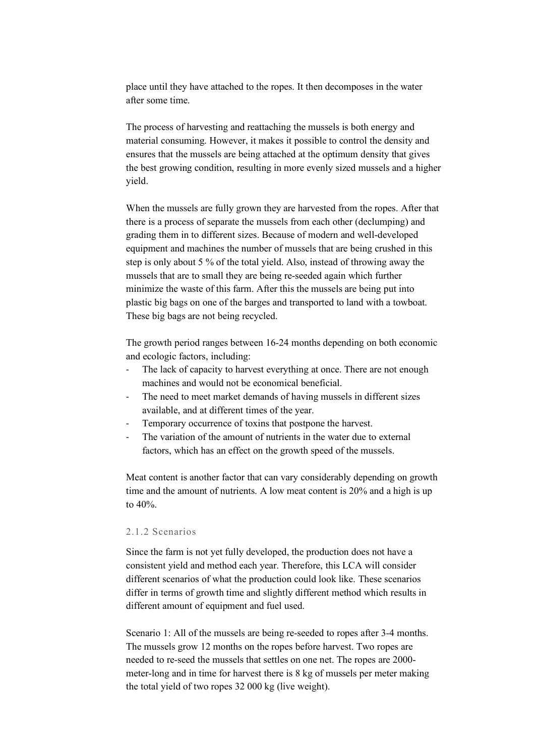place until they have attached to the ropes. It then decomposes in the water after some time.

The process of harvesting and reattaching the mussels is both energy and material consuming. However, it makes it possible to control the density and ensures that the mussels are being attached at the optimum density that gives the best growing condition, resulting in more evenly sized mussels and a higher yield.

When the mussels are fully grown they are harvested from the ropes. After that there is a process of separate the mussels from each other (declumping) and grading them in to different sizes. Because of modern and well-developed equipment and machines the number of mussels that are being crushed in this step is only about 5 % of the total yield. Also, instead of throwing away the mussels that are to small they are being re-seeded again which further minimize the waste of this farm. After this the mussels are being put into plastic big bags on one of the barges and transported to land with a towboat. These big bags are not being recycled.

The growth period ranges between 16-24 months depending on both economic and ecologic factors, including:

- The lack of capacity to harvest everything at once. There are not enough machines and would not be economical beneficial.
- The need to meet market demands of having mussels in different sizes available, and at different times of the year.
- Temporary occurrence of toxins that postpone the harvest.
- The variation of the amount of nutrients in the water due to external factors, which has an effect on the growth speed of the mussels.

Meat content is another factor that can vary considerably depending on growth time and the amount of nutrients. A low meat content is 20% and a high is up to 40%.

#### 2.1.2 Scenarios

Since the farm is not yet fully developed, the production does not have a consistent yield and method each year. Therefore, this LCA will consider different scenarios of what the production could look like. These scenarios differ in terms of growth time and slightly different method which results in different amount of equipment and fuel used.

Scenario 1: All of the mussels are being re-seeded to ropes after 3-4 months. The mussels grow 12 months on the ropes before harvest. Two ropes are needed to re-seed the mussels that settles on one net. The ropes are 2000 meter-long and in time for harvest there is 8 kg of mussels per meter making the total yield of two ropes 32 000 kg (live weight).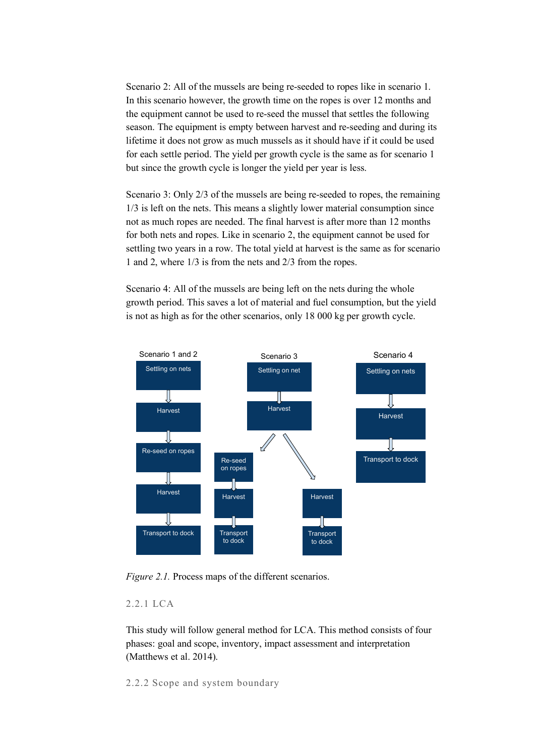Scenario 2: All of the mussels are being re-seeded to ropes like in scenario 1. In this scenario however, the growth time on the ropes is over 12 months and the equipment cannot be used to re-seed the mussel that settles the following season. The equipment is empty between harvest and re-seeding and during its lifetime it does not grow as much mussels as it should have if it could be used for each settle period. The yield per growth cycle is the same as for scenario 1 but since the growth cycle is longer the yield per year is less.

Scenario 3: Only 2/3 of the mussels are being re-seeded to ropes, the remaining 1/3 is left on the nets. This means a slightly lower material consumption since not as much ropes are needed. The final harvest is after more than 12 months for both nets and ropes. Like in scenario 2, the equipment cannot be used for settling two years in a row. The total yield at harvest is the same as for scenario 1 and 2, where 1/3 is from the nets and 2/3 from the ropes.

Scenario 4: All of the mussels are being left on the nets during the whole growth period. This saves a lot of material and fuel consumption, but the yield is not as high as for the other scenarios, only 18 000 kg per growth cycle.



*Figure 2.1.* Process maps of the different scenarios.

### 2.2.1 LCA

This study will follow general method for LCA. This method consists of four phases: goal and scope, inventory, impact assessment and interpretation (Matthews et al. 2014).

2.2.2 Scope and system boundary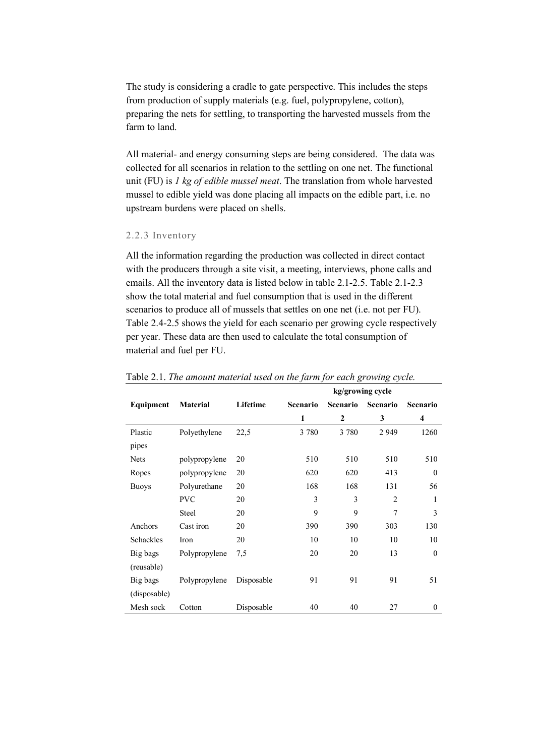The study is considering a cradle to gate perspective. This includes the steps from production of supply materials (e.g. fuel, polypropylene, cotton), preparing the nets for settling, to transporting the harvested mussels from the farm to land.

All material- and energy consuming steps are being considered. The data was collected for all scenarios in relation to the settling on one net. The functional unit (FU) is *1 kg of edible mussel meat*. The translation from whole harvested mussel to edible yield was done placing all impacts on the edible part, i.e. no upstream burdens were placed on shells.

#### 2.2.3 Inventory

All the information regarding the production was collected in direct contact with the producers through a site visit, a meeting, interviews, phone calls and emails. All the inventory data is listed below in table 2.1-2.5. Table 2.1-2.3 show the total material and fuel consumption that is used in the different scenarios to produce all of mussels that settles on one net (i.e. not per FU). Table 2.4-2.5 shows the yield for each scenario per growing cycle respectively per year. These data are then used to calculate the total consumption of material and fuel per FU.

|              |                 |            | kg/growing cycle |                 |                |                 |
|--------------|-----------------|------------|------------------|-----------------|----------------|-----------------|
| Equipment    | <b>Material</b> | Lifetime   | <b>Scenario</b>  | <b>Scenario</b> | Scenario       | <b>Scenario</b> |
|              |                 |            | 1                | $\mathbf{2}$    | 3              | 4               |
| Plastic      | Polyethylene    | 22,5       | 3 7 8 0          | 3 7 8 0         | 2 9 4 9        | 1260            |
| pipes        |                 |            |                  |                 |                |                 |
| <b>Nets</b>  | polypropylene   | 20         | 510              | 510             | 510            | 510             |
| Ropes        | polypropylene   | 20         | 620              | 620             | 413            | $\theta$        |
| <b>Buoys</b> | Polyurethane    | 20         | 168              | 168             | 131            | 56              |
|              | <b>PVC</b>      | 20         | 3                | 3               | $\overline{2}$ | 1               |
|              | <b>Steel</b>    | 20         | 9                | 9               | 7              | 3               |
| Anchors      | Cast iron       | 20         | 390              | 390             | 303            | 130             |
| Schackles    | Iron            | 20         | 10               | 10              | 10             | 10              |
| Big bags     | Polypropylene   | 7.5        | 20               | 20              | 13             | $\mathbf{0}$    |
| (reusable)   |                 |            |                  |                 |                |                 |
| Big bags     | Polypropylene   | Disposable | 91               | 91              | 91             | 51              |
| (disposable) |                 |            |                  |                 |                |                 |
| Mesh sock    | Cotton          | Disposable | 40               | 40              | 27             | $\mathbf{0}$    |

Table 2.1. *The amount material used on the farm for each growing cycle.*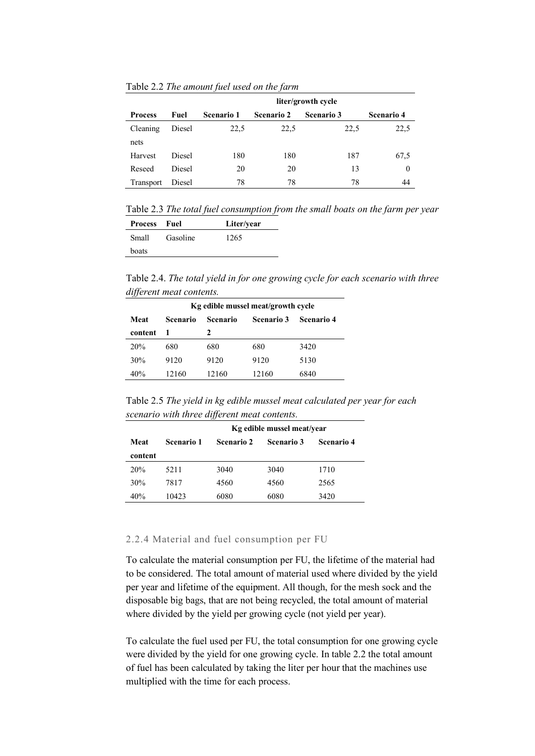Table 2.2 *The amount fuel used on the farm*

|                |        | liter/growth cycle |                   |                   |                   |
|----------------|--------|--------------------|-------------------|-------------------|-------------------|
| <b>Process</b> | Fuel   | <b>Scenario 1</b>  | <b>Scenario 2</b> | <b>Scenario 3</b> | <b>Scenario 4</b> |
| Cleaning       | Diesel | 22,5               | 22.5              | 22,5              | 22,5              |
| nets           |        |                    |                   |                   |                   |
| Harvest        | Diesel | 180                | 180               | 187               | 67,5              |
| Reseed         | Diesel | 20                 | 20                | 13                | $\theta$          |
| Transport      | Diesel | 78                 | 78                | 78                | 44                |

Table 2.3 *The total fuel consumption from the small boats on the farm per year*

| Process | - Fuel   | Liter/year |
|---------|----------|------------|
| Small   | Gasoline | 1265       |
| boats   |          |            |

Table 2.4. *The total yield in for one growing cycle for each scenario with three different meat contents.*

| Kg edible mussel meat/growth cycle |          |                 |                   |                   |  |
|------------------------------------|----------|-----------------|-------------------|-------------------|--|
| Meat                               | Scenario | <b>Scenario</b> | <b>Scenario 3</b> | <b>Scenario 4</b> |  |
| content                            |          | 2               |                   |                   |  |
| 20%                                | 680      | 680             | 680               | 3420              |  |
| 30%                                | 9120     | 9120            | 9120              | 5130              |  |
| 40%                                | 12160    | 12160           | 12160             | 6840              |  |

Table 2.5 *The yield in kg edible mussel meat calculated per year for each scenario with three different meat contents.*

|         |                   | Kg edible mussel meat/year |                   |                   |  |
|---------|-------------------|----------------------------|-------------------|-------------------|--|
| Meat    | <b>Scenario 1</b> | <b>Scenario 2</b>          | <b>Scenario 3</b> | <b>Scenario 4</b> |  |
| content |                   |                            |                   |                   |  |
| 20%     | 5211              | 3040                       | 3040              | 1710              |  |
| 30%     | 7817              | 4560                       | 4560              | 2565              |  |
| 40%     | 10423             | 6080                       | 6080              | 3420              |  |

#### 2.2.4 Material and fuel consumption per FU

To calculate the material consumption per FU, the lifetime of the material had to be considered. The total amount of material used where divided by the yield per year and lifetime of the equipment. All though, for the mesh sock and the disposable big bags, that are not being recycled, the total amount of material where divided by the yield per growing cycle (not yield per year).

To calculate the fuel used per FU, the total consumption for one growing cycle were divided by the yield for one growing cycle. In table 2.2 the total amount of fuel has been calculated by taking the liter per hour that the machines use multiplied with the time for each process.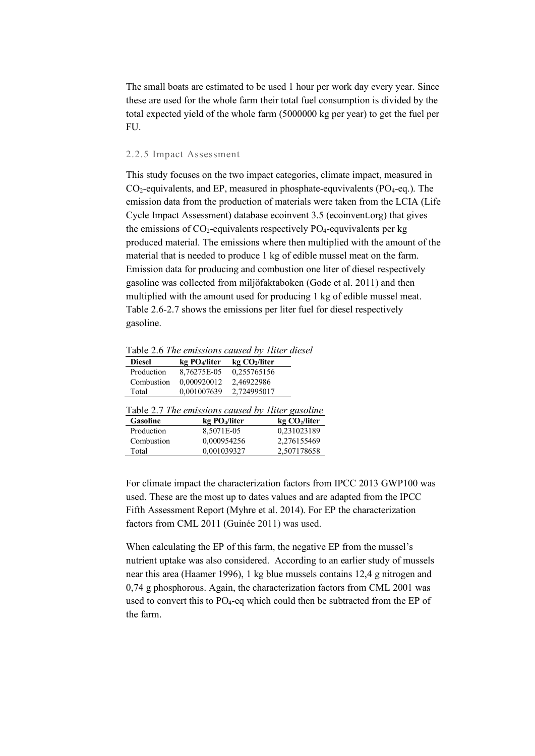The small boats are estimated to be used 1 hour per work day every year. Since these are used for the whole farm their total fuel consumption is divided by the total expected yield of the whole farm (5000000 kg per year) to get the fuel per FU.

#### 2.2.5 Impact Assessment

This study focuses on the two impact categories, climate impact, measured in  $CO<sub>2</sub>$ -equivalents, and EP, measured in phosphate-equvivalents (PO<sub>4</sub>-eq.). The emission data from the production of materials were taken from the LCIA (Life Cycle Impact Assessment) database ecoinvent 3.5 (ecoinvent.org) that gives the emissions of  $CO_2$ -equivalents respectively PO<sub>4</sub>-equvivalents per kg produced material. The emissions where then multiplied with the amount of the material that is needed to produce 1 kg of edible mussel meat on the farm. Emission data for producing and combustion one liter of diesel respectively gasoline was collected from miljöfaktaboken (Gode et al. 2011) and then multiplied with the amount used for producing 1 kg of edible mussel meat. Table 2.6-2.7 shows the emissions per liter fuel for diesel respectively gasoline.

Table 2.6 *The emissions caused by 1liter diesel*

| $\sim$ wore mit the entropyond entropy of three wreder |                                                   |                           |              |  |
|--------------------------------------------------------|---------------------------------------------------|---------------------------|--------------|--|
| <b>Diesel</b>                                          | kg PO <sub>4</sub> /liter                         | kg CO <sub>2</sub> /liter |              |  |
| Production                                             | 8,76275E-05                                       | 0,255765156               |              |  |
| Combustion                                             | 0,000920012                                       | 2,46922986                |              |  |
| Total                                                  | 0,001007639                                       | 2,724995017               |              |  |
|                                                        | Table 2.7 The emissions caused by Iliter gasoline |                           |              |  |
|                                                        |                                                   |                           |              |  |
| Gasoline                                               | kg PO <sub>4</sub> /liter                         |                           | kg CO2/liter |  |
| Production                                             | 8,5071E-05                                        |                           | 0,231023189  |  |
| Combustion                                             | 0,000954256                                       |                           | 2,276155469  |  |

Total 0,001039327 2,507178658

For climate impact the characterization factors from IPCC 2013 GWP100 was used. These are the most up to dates values and are adapted from the IPCC Fifth Assessment Report (Myhre et al. 2014). For EP the characterization factors from CML 2011 (Guinée 2011) was used.

When calculating the EP of this farm, the negative EP from the mussel's nutrient uptake was also considered. According to an earlier study of mussels near this area (Haamer 1996), 1 kg blue mussels contains 12,4 g nitrogen and 0,74 g phosphorous. Again, the characterization factors from CML 2001 was used to convert this to  $PO_4$ -eq which could then be subtracted from the EP of the farm.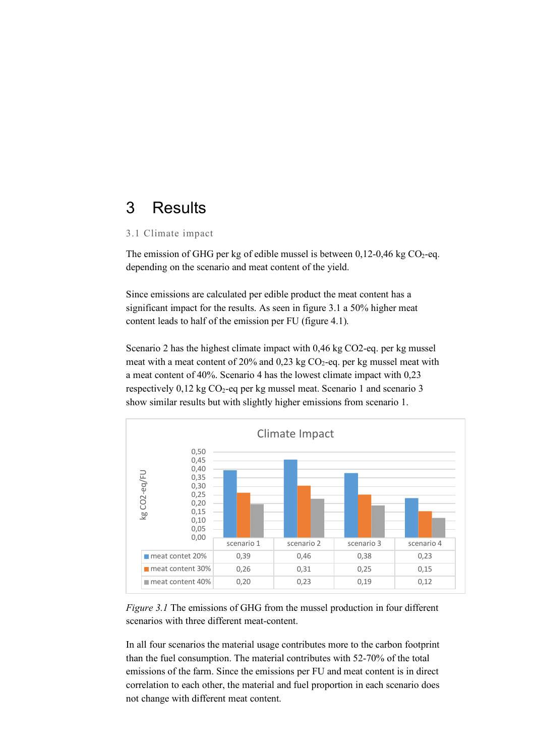## 3 Results

#### 3.1 Climate impact

The emission of GHG per kg of edible mussel is between  $0,12$ -0,46 kg CO<sub>2</sub>-eq. depending on the scenario and meat content of the yield.

Since emissions are calculated per edible product the meat content has a significant impact for the results. As seen in figure 3.1 a 50% higher meat content leads to half of the emission per FU (figure 4.1).

Scenario 2 has the highest climate impact with 0,46 kg CO2-eq. per kg mussel meat with a meat content of 20% and 0,23 kg  $CO<sub>2</sub>$ -eq. per kg mussel meat with a meat content of 40%. Scenario 4 has the lowest climate impact with 0,23 respectively  $0,12$  kg CO<sub>2</sub>-eq per kg mussel meat. Scenario 1 and scenario 3 show similar results but with slightly higher emissions from scenario 1.



*Figure 3.1* The emissions of GHG from the mussel production in four different scenarios with three different meat-content.

In all four scenarios the material usage contributes more to the carbon footprint than the fuel consumption. The material contributes with 52-70% of the total emissions of the farm. Since the emissions per FU and meat content is in direct correlation to each other, the material and fuel proportion in each scenario does not change with different meat content.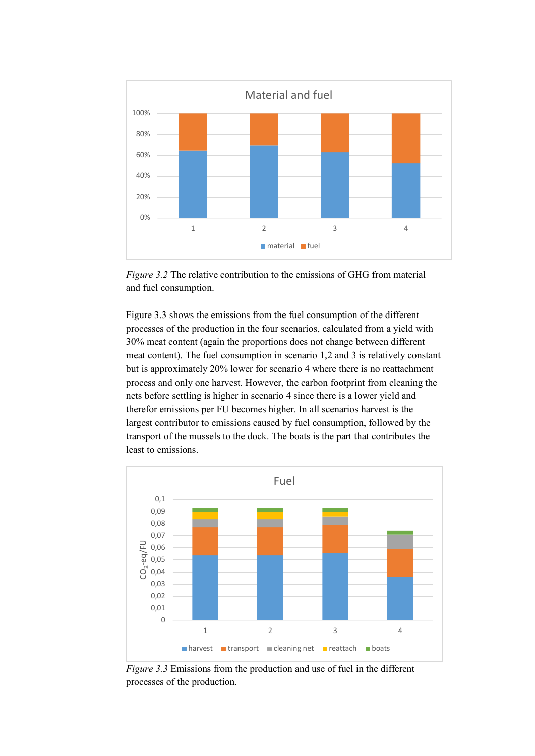

*Figure 3.2* The relative contribution to the emissions of GHG from material and fuel consumption.

Figure 3.3 shows the emissions from the fuel consumption of the different processes of the production in the four scenarios, calculated from a yield with 30% meat content (again the proportions does not change between different meat content). The fuel consumption in scenario 1,2 and 3 is relatively constant but is approximately 20% lower for scenario 4 where there is no reattachment process and only one harvest. However, the carbon footprint from cleaning the nets before settling is higher in scenario 4 since there is a lower yield and therefor emissions per FU becomes higher. In all scenarios harvest is the largest contributor to emissions caused by fuel consumption, followed by the transport of the mussels to the dock. The boats is the part that contributes the least to emissions.



*Figure 3.3* Emissions from the production and use of fuel in the different processes of the production.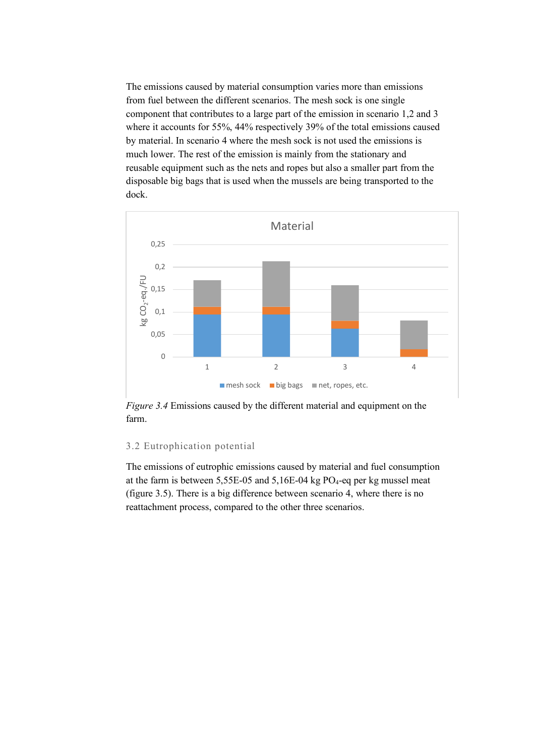The emissions caused by material consumption varies more than emissions from fuel between the different scenarios. The mesh sock is one single component that contributes to a large part of the emission in scenario 1,2 and 3 where it accounts for 55%, 44% respectively 39% of the total emissions caused by material. In scenario 4 where the mesh sock is not used the emissions is much lower. The rest of the emission is mainly from the stationary and reusable equipment such as the nets and ropes but also a smaller part from the disposable big bags that is used when the mussels are being transported to the dock.



*Figure 3.4* Emissions caused by the different material and equipment on the farm.

#### 3.2 Eutrophication potential

The emissions of eutrophic emissions caused by material and fuel consumption at the farm is between  $5,55E-05$  and  $5,16E-04$  kg PO<sub>4</sub>-eq per kg mussel meat (figure 3.5). There is a big difference between scenario 4, where there is no reattachment process, compared to the other three scenarios.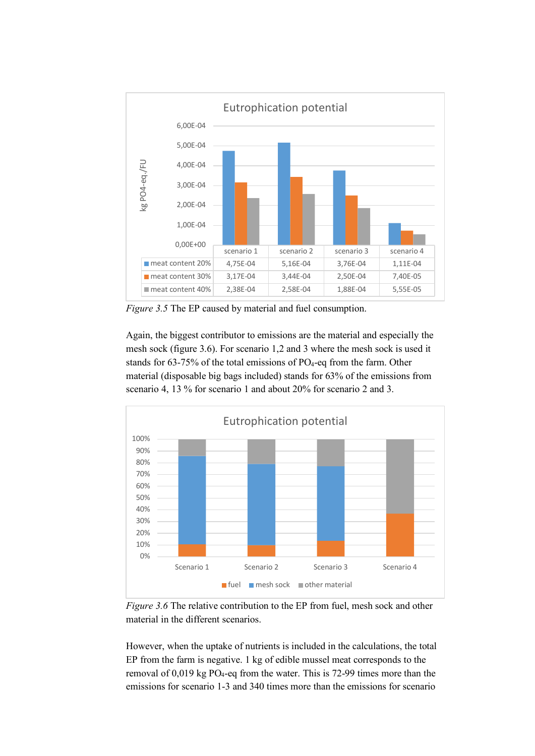

*Figure 3.5* The EP caused by material and fuel consumption.

Again, the biggest contributor to emissions are the material and especially the mesh sock (figure 3.6). For scenario 1,2 and 3 where the mesh sock is used it stands for 63-75% of the total emissions of PO<sub>4</sub>-eq from the farm. Other material (disposable big bags included) stands for 63% of the emissions from scenario 4, 13 % for scenario 1 and about 20% for scenario 2 and 3.



*Figure 3.6* The relative contribution to the EP from fuel, mesh sock and other material in the different scenarios.

However, when the uptake of nutrients is included in the calculations, the total EP from the farm is negative. 1 kg of edible mussel meat corresponds to the removal of  $0.019$  kg PO<sub>4</sub>-eq from the water. This is 72-99 times more than the emissions for scenario 1-3 and 340 times more than the emissions for scenario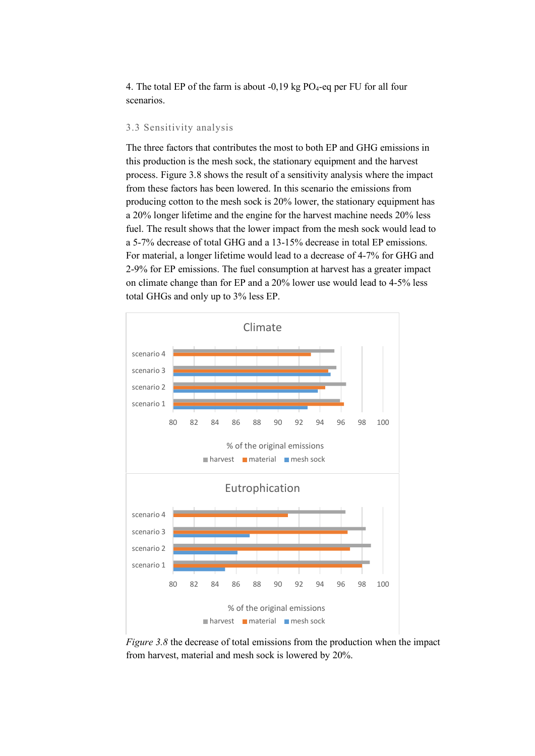4. The total EP of the farm is about  $-0.19$  kg PO<sub>4</sub>-eq per FU for all four scenarios.

#### 3.3 Sensitivity analysis

The three factors that contributes the most to both EP and GHG emissions in this production is the mesh sock, the stationary equipment and the harvest process. Figure 3.8 shows the result of a sensitivity analysis where the impact from these factors has been lowered. In this scenario the emissions from producing cotton to the mesh sock is 20% lower, the stationary equipment has a 20% longer lifetime and the engine for the harvest machine needs 20% less fuel. The result shows that the lower impact from the mesh sock would lead to a 5-7% decrease of total GHG and a 13-15% decrease in total EP emissions. For material, a longer lifetime would lead to a decrease of 4-7% for GHG and 2-9% for EP emissions. The fuel consumption at harvest has a greater impact on climate change than for EP and a 20% lower use would lead to 4-5% less total GHGs and only up to 3% less EP.



*Figure 3.8* the decrease of total emissions from the production when the impact from harvest, material and mesh sock is lowered by 20%.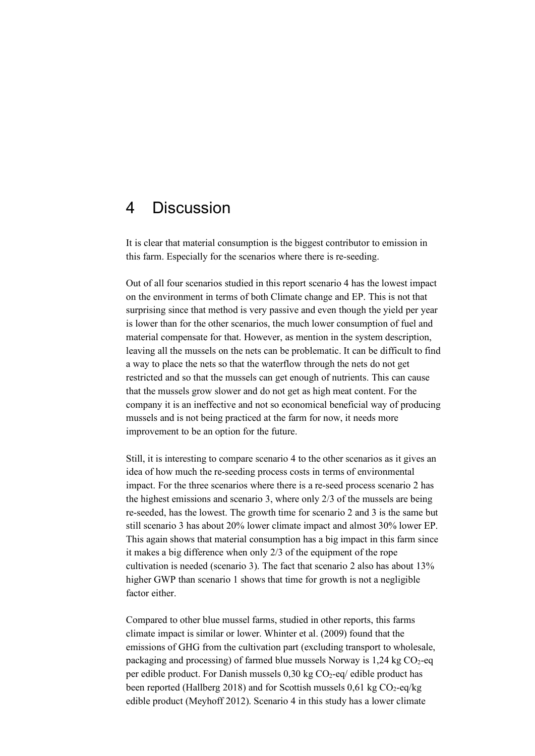### 4 Discussion

It is clear that material consumption is the biggest contributor to emission in this farm. Especially for the scenarios where there is re-seeding.

Out of all four scenarios studied in this report scenario 4 has the lowest impact on the environment in terms of both Climate change and EP. This is not that surprising since that method is very passive and even though the yield per year is lower than for the other scenarios, the much lower consumption of fuel and material compensate for that. However, as mention in the system description, leaving all the mussels on the nets can be problematic. It can be difficult to find a way to place the nets so that the waterflow through the nets do not get restricted and so that the mussels can get enough of nutrients. This can cause that the mussels grow slower and do not get as high meat content. For the company it is an ineffective and not so economical beneficial way of producing mussels and is not being practiced at the farm for now, it needs more improvement to be an option for the future.

Still, it is interesting to compare scenario 4 to the other scenarios as it gives an idea of how much the re-seeding process costs in terms of environmental impact. For the three scenarios where there is a re-seed process scenario 2 has the highest emissions and scenario 3, where only 2/3 of the mussels are being re-seeded, has the lowest. The growth time for scenario 2 and 3 is the same but still scenario 3 has about 20% lower climate impact and almost 30% lower EP. This again shows that material consumption has a big impact in this farm since it makes a big difference when only 2/3 of the equipment of the rope cultivation is needed (scenario 3). The fact that scenario 2 also has about 13% higher GWP than scenario 1 shows that time for growth is not a negligible factor either.

Compared to other blue mussel farms, studied in other reports, this farms climate impact is similar or lower. Whinter et al. (2009) found that the emissions of GHG from the cultivation part (excluding transport to wholesale, packaging and processing) of farmed blue mussels Norway is  $1,24$  kg CO<sub>2</sub>-eq per edible product. For Danish mussels  $0.30 \text{ kg CO}_2$ -eq/ edible product has been reported (Hallberg 2018) and for Scottish mussels  $0.61 \text{ kg CO}_2$ -eq/kg edible product (Meyhoff 2012). Scenario 4 in this study has a lower climate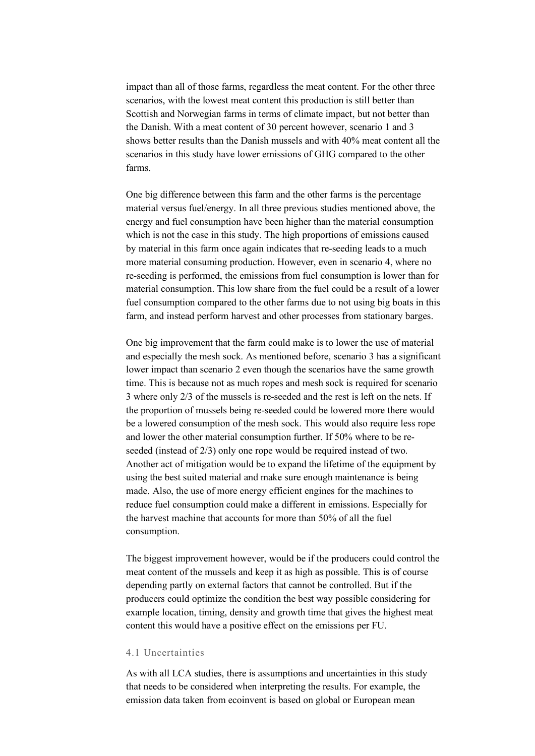impact than all of those farms, regardless the meat content. For the other three scenarios, with the lowest meat content this production is still better than Scottish and Norwegian farms in terms of climate impact, but not better than the Danish. With a meat content of 30 percent however, scenario 1 and 3 shows better results than the Danish mussels and with 40% meat content all the scenarios in this study have lower emissions of GHG compared to the other farms.

One big difference between this farm and the other farms is the percentage material versus fuel/energy. In all three previous studies mentioned above, the energy and fuel consumption have been higher than the material consumption which is not the case in this study. The high proportions of emissions caused by material in this farm once again indicates that re-seeding leads to a much more material consuming production. However, even in scenario 4, where no re-seeding is performed, the emissions from fuel consumption is lower than for material consumption. This low share from the fuel could be a result of a lower fuel consumption compared to the other farms due to not using big boats in this farm, and instead perform harvest and other processes from stationary barges.

One big improvement that the farm could make is to lower the use of material and especially the mesh sock. As mentioned before, scenario 3 has a significant lower impact than scenario 2 even though the scenarios have the same growth time. This is because not as much ropes and mesh sock is required for scenario 3 where only 2/3 of the mussels is re-seeded and the rest is left on the nets. If the proportion of mussels being re-seeded could be lowered more there would be a lowered consumption of the mesh sock. This would also require less rope and lower the other material consumption further. If 50% where to be reseeded (instead of 2/3) only one rope would be required instead of two. Another act of mitigation would be to expand the lifetime of the equipment by using the best suited material and make sure enough maintenance is being made. Also, the use of more energy efficient engines for the machines to reduce fuel consumption could make a different in emissions. Especially for the harvest machine that accounts for more than 50% of all the fuel consumption.

The biggest improvement however, would be if the producers could control the meat content of the mussels and keep it as high as possible. This is of course depending partly on external factors that cannot be controlled. But if the producers could optimize the condition the best way possible considering for example location, timing, density and growth time that gives the highest meat content this would have a positive effect on the emissions per FU.

#### 4.1 Uncertainties

As with all LCA studies, there is assumptions and uncertainties in this study that needs to be considered when interpreting the results. For example, the emission data taken from ecoinvent is based on global or European mean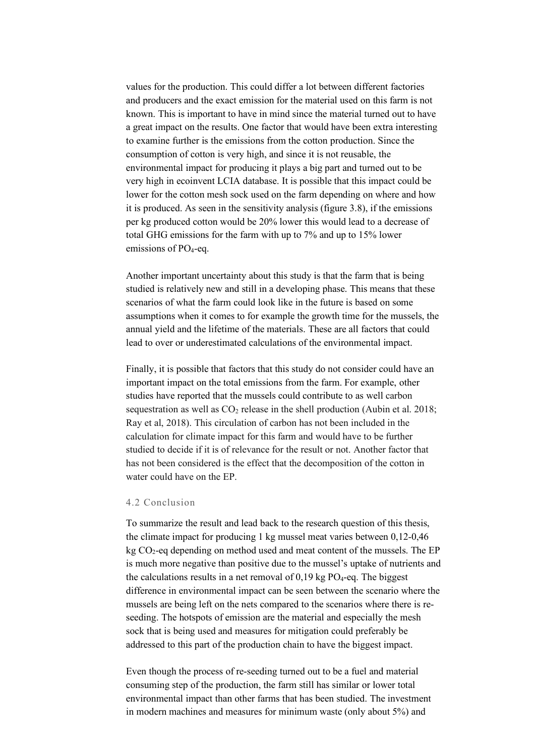values for the production. This could differ a lot between different factories and producers and the exact emission for the material used on this farm is not known. This is important to have in mind since the material turned out to have a great impact on the results. One factor that would have been extra interesting to examine further is the emissions from the cotton production. Since the consumption of cotton is very high, and since it is not reusable, the environmental impact for producing it plays a big part and turned out to be very high in ecoinvent LCIA database. It is possible that this impact could be lower for the cotton mesh sock used on the farm depending on where and how it is produced. As seen in the sensitivity analysis (figure 3.8), if the emissions per kg produced cotton would be 20% lower this would lead to a decrease of total GHG emissions for the farm with up to 7% and up to 15% lower emissions of PO<sub>4</sub>-eq.

Another important uncertainty about this study is that the farm that is being studied is relatively new and still in a developing phase. This means that these scenarios of what the farm could look like in the future is based on some assumptions when it comes to for example the growth time for the mussels, the annual yield and the lifetime of the materials. These are all factors that could lead to over or underestimated calculations of the environmental impact.

Finally, it is possible that factors that this study do not consider could have an important impact on the total emissions from the farm. For example, other studies have reported that the mussels could contribute to as well carbon sequestration as well as  $CO<sub>2</sub>$  release in the shell production (Aubin et al. 2018; Ray et al, 2018). This circulation of carbon has not been included in the calculation for climate impact for this farm and would have to be further studied to decide if it is of relevance for the result or not. Another factor that has not been considered is the effect that the decomposition of the cotton in water could have on the EP.

#### 4.2 Conclusion

To summarize the result and lead back to the research question of this thesis, the climate impact for producing 1 kg mussel meat varies between 0,12-0,46 kg CO2-eq depending on method used and meat content of the mussels. The EP is much more negative than positive due to the mussel's uptake of nutrients and the calculations results in a net removal of  $0.19$  kg  $PO_4$ -eq. The biggest difference in environmental impact can be seen between the scenario where the mussels are being left on the nets compared to the scenarios where there is reseeding. The hotspots of emission are the material and especially the mesh sock that is being used and measures for mitigation could preferably be addressed to this part of the production chain to have the biggest impact.

Even though the process of re-seeding turned out to be a fuel and material consuming step of the production, the farm still has similar or lower total environmental impact than other farms that has been studied. The investment in modern machines and measures for minimum waste (only about 5%) and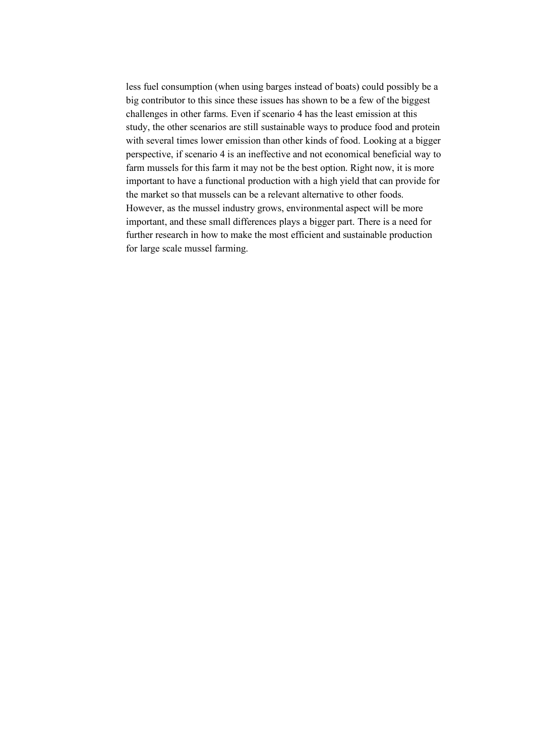less fuel consumption (when using barges instead of boats) could possibly be a big contributor to this since these issues has shown to be a few of the biggest challenges in other farms. Even if scenario 4 has the least emission at this study, the other scenarios are still sustainable ways to produce food and protein with several times lower emission than other kinds of food. Looking at a bigger perspective, if scenario 4 is an ineffective and not economical beneficial way to farm mussels for this farm it may not be the best option. Right now, it is more important to have a functional production with a high yield that can provide for the market so that mussels can be a relevant alternative to other foods. However, as the mussel industry grows, environmental aspect will be more important, and these small differences plays a bigger part. There is a need for further research in how to make the most efficient and sustainable production for large scale mussel farming.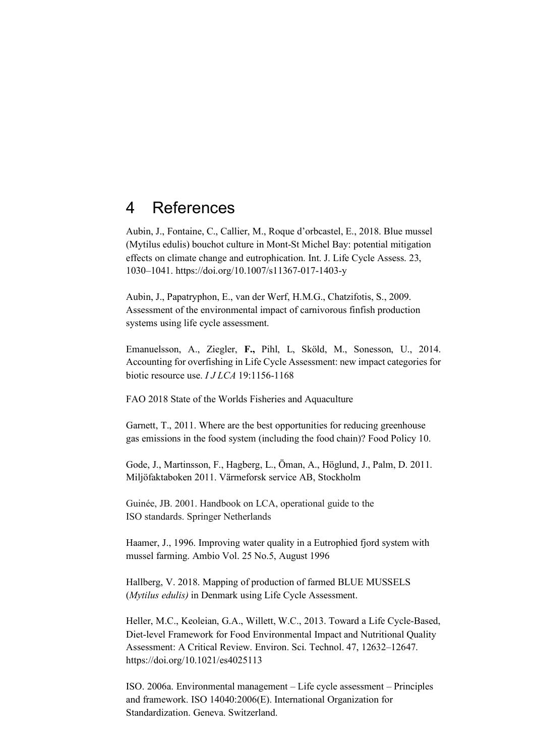### 4 References

Aubin, J., Fontaine, C., Callier, M., Roque d'orbcastel, E., 2018. Blue mussel (Mytilus edulis) bouchot culture in Mont-St Michel Bay: potential mitigation effects on climate change and eutrophication. Int. J. Life Cycle Assess. 23, 1030–1041. https://doi.org/10.1007/s11367-017-1403-y

Aubin, J., Papatryphon, E., van der Werf, H.M.G., Chatzifotis, S., 2009. Assessment of the environmental impact of carnivorous finfish production systems using life cycle assessment.

Emanuelsson, A., Ziegler, **F.,** Pihl, L, Sköld, M., Sonesson, U., 2014. Accounting for overfishing in Life Cycle Assessment: new impact categories for biotic resource use. *I J LCA* 19:1156-1168

FAO 2018 State of the Worlds Fisheries and Aquaculture

Garnett, T., 2011. Where are the best opportunities for reducing greenhouse gas emissions in the food system (including the food chain)? Food Policy 10.

Gode, J., Martinsson, F., Hagberg, L., Öman, A., Höglund, J., Palm, D. 2011. Miljöfaktaboken 2011. Värmeforsk service AB, Stockholm

Guinée, JB. 2001. Handbook on LCA, operational guide to the ISO standards. Springer Netherlands

Haamer, J., 1996. Improving water quality in a Eutrophied fjord system with mussel farming. Ambio Vol. 25 No.5, August 1996

Hallberg, V. 2018. Mapping of production of farmed BLUE MUSSELS (*Mytilus edulis)* in Denmark using Life Cycle Assessment.

Heller, M.C., Keoleian, G.A., Willett, W.C., 2013. Toward a Life Cycle-Based, Diet-level Framework for Food Environmental Impact and Nutritional Quality Assessment: A Critical Review. Environ. Sci. Technol. 47, 12632–12647. https://doi.org/10.1021/es4025113

ISO. 2006a. Environmental management – Life cycle assessment – Principles and framework. ISO 14040:2006(E). International Organization for Standardization. Geneva. Switzerland.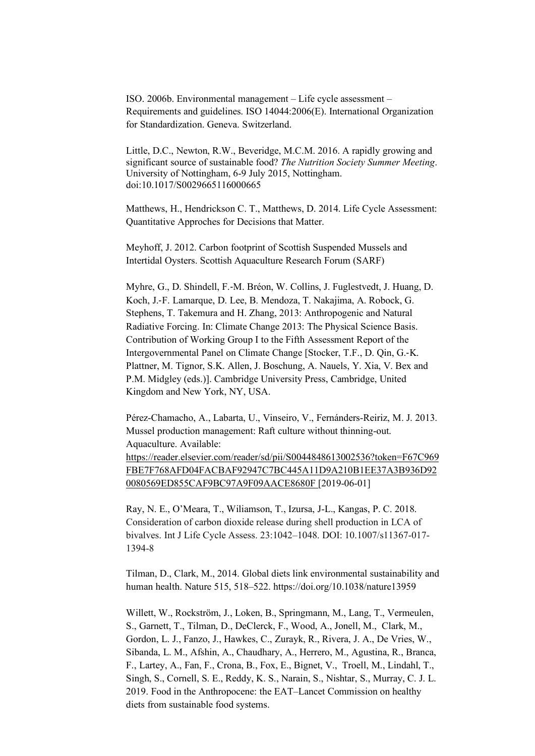ISO. 2006b. Environmental management – Life cycle assessment – Requirements and guidelines. ISO 14044:2006(E). International Organization for Standardization. Geneva. Switzerland.

Little, D.C., Newton, R.W., Beveridge, M.C.M. 2016. A rapidly growing and significant source of sustainable food? *The Nutrition Society Summer Meeting*. University of Nottingham, 6-9 July 2015, Nottingham. doi:10.1017/S0029665116000665

Matthews, H., Hendrickson C. T., Matthews, D. 2014. Life Cycle Assessment: Quantitative Approches for Decisions that Matter.

Meyhoff, J. 2012. Carbon footprint of Scottish Suspended Mussels and Intertidal Oysters. Scottish Aquaculture Research Forum (SARF)

Myhre, G., D. Shindell, F.-M. Bréon, W. Collins, J. Fuglestvedt, J. Huang, D. Koch, J.-F. Lamarque, D. Lee, B. Mendoza, T. Nakajima, A. Robock, G. Stephens, T. Takemura and H. Zhang, 2013: Anthropogenic and Natural Radiative Forcing. In: Climate Change 2013: The Physical Science Basis. Contribution of Working Group I to the Fifth Assessment Report of the Intergovernmental Panel on Climate Change [Stocker, T.F., D. Qin, G.-K. Plattner, M. Tignor, S.K. Allen, J. Boschung, A. Nauels, Y. Xia, V. Bex and P.M. Midgley (eds.)]. Cambridge University Press, Cambridge, United Kingdom and New York, NY, USA.

Pérez-Chamacho, A., Labarta, U., Vinseiro, V., Fernánders-Reiriz, M. J. 2013. Mussel production management: Raft culture without thinning-out. Aquaculture. Available: https://reader.elsevier.com/reader/sd/pii/S0044848613002536?token=F67C969 FBE7F768AFD04FACBAF92947C7BC445A11D9A210B1EE37A3B936D92 0080569ED855CAF9BC97A9F09AACE8680F [2019-06-01]

Ray, N. E., O'Meara, T., Wiliamson, T., Izursa, J-L., Kangas, P. C. 2018. Consideration of carbon dioxide release during shell production in LCA of bivalves. Int J Life Cycle Assess. 23:1042–1048. DOI: 10.1007/s11367-017- 1394-8

Tilman, D., Clark, M., 2014. Global diets link environmental sustainability and human health. Nature 515, 518–522. https://doi.org/10.1038/nature13959

Willett, W., Rockström, J., Loken, B., Springmann, M., Lang, T., Vermeulen, S., Garnett, T., Tilman, D., DeClerck, F., Wood, A., Jonell, M., Clark, M., Gordon, L. J., Fanzo, J., Hawkes, C., Zurayk, R., Rivera, J. A., De Vries, W., Sibanda, L. M., Afshin, A., Chaudhary, A., Herrero, M., Agustina, R., Branca, F., Lartey, A., Fan, F., Crona, B., Fox, E., Bignet, V., Troell, M., Lindahl, T., Singh, S., Cornell, S. E., Reddy, K. S., Narain, S., Nishtar, S., Murray, C. J. L. 2019. Food in the Anthropocene: the EAT–Lancet Commission on healthy diets from sustainable food systems.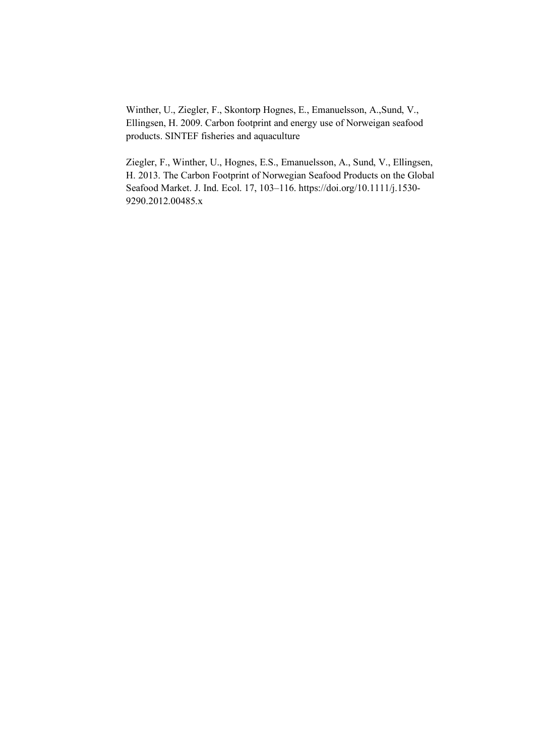Winther, U., Ziegler, F., Skontorp Hognes, E., Emanuelsson, A.,Sund, V., Ellingsen, H. 2009. Carbon footprint and energy use of Norweigan seafood products. SINTEF fisheries and aquaculture

Ziegler, F., Winther, U., Hognes, E.S., Emanuelsson, A., Sund, V., Ellingsen, H. 2013. The Carbon Footprint of Norwegian Seafood Products on the Global Seafood Market. J. Ind. Ecol. 17, 103–116. https://doi.org/10.1111/j.1530- 9290.2012.00485.x